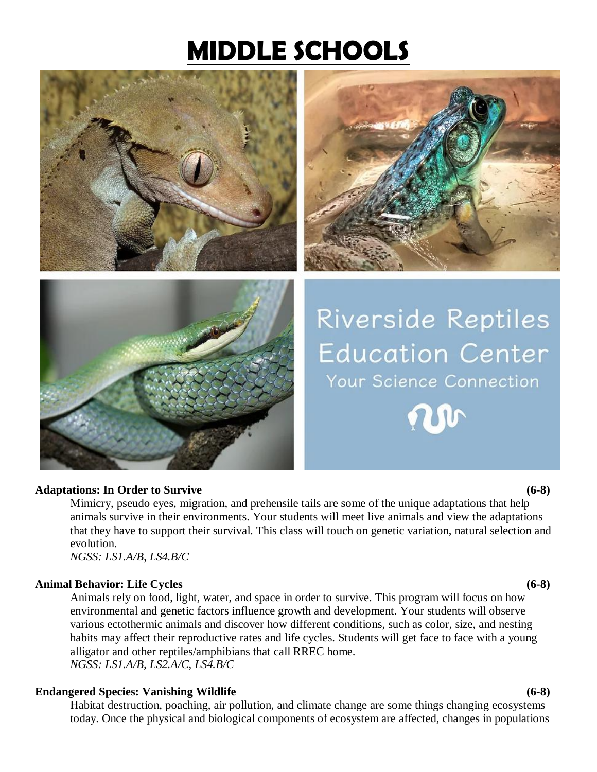## **MIDDLE SCHOOLS**







# **Riverside Reptiles Education Center** Your Science Connection



#### **Adaptations: In Order to Survive (6-8)**

Mimicry, pseudo eyes, migration, and prehensile tails are some of the unique adaptations that help animals survive in their environments. Your students will meet live animals and view the adaptations that they have to support their survival. This class will touch on genetic variation, natural selection and evolution.

*NGSS: LS1.A/B, LS4.B/C*

### **Animal Behavior: Life Cycles (6-8)**

Animals rely on food, light, water, and space in order to survive. This program will focus on how environmental and genetic factors influence growth and development. Your students will observe various ectothermic animals and discover how different conditions, such as color, size, and nesting habits may affect their reproductive rates and life cycles. Students will get face to face with a young alligator and other reptiles/amphibians that call RREC home. *NGSS: LS1.A/B, LS2.A/C, LS4.B/C*

### **Endangered Species: Vanishing Wildlife (6-8)**

Habitat destruction, poaching, air pollution, and climate change are some things changing ecosystems today. Once the physical and biological components of ecosystem are affected, changes in populations